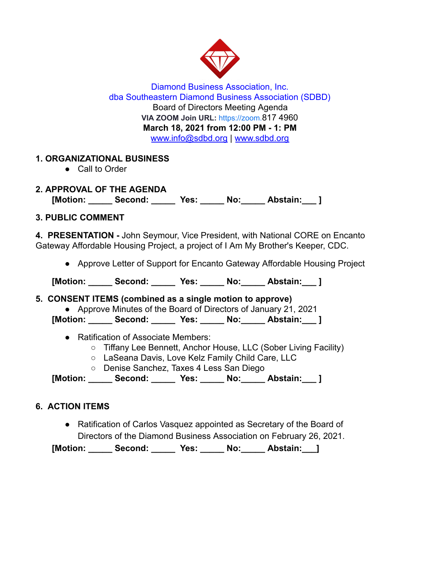

Diamond Business Association, Inc. dba Southeastern Diamond Business Association (SDBD) Board of Directors Meeting Agenda **VIA ZOOM Join URL:** [https://zoom.](https://zoom.us/j/94604493679) 817 4960 **March 18, 2021 from 12:00 PM - 1: PM**  www.info@sdbd.org | [www.sdbd.org](http://www.sdbd.org/)

## **1. ORGANIZATIONAL BUSINESS**

● Call to Order

**2. APPROVAL OF THE AGENDA [Motion: \_\_\_\_\_ Second: \_\_\_\_\_ Yes: \_\_\_\_\_ No:\_\_\_\_\_ Abstain:\_\_\_ ]** 

## **3. PUBLIC COMMENT**

**4. PRESENTATION -** John Seymour, Vice President, with National CORE on Encanto Gateway Affordable Housing Project, a project of I Am My Brother's Keeper, CDC.

● Approve Letter of Support for Encanto Gateway Affordable Housing Project

[Motion: Second: Yes: No: Abstain: ]

### **5. CONSENT ITEMS (combined as a single motion to approve)**

● Approve Minutes of the Board of Directors of January 21, 2021

**[Motion: \_\_\_\_\_ Second: \_\_\_\_\_ Yes: \_\_\_\_\_ No:\_\_\_\_\_ Abstain:\_\_\_ ]** 

- Ratification of Associate Members:
	- Tiffany Lee Bennett, Anchor House, LLC (Sober Living Facility)
	- LaSeana Davis, Love Kelz Family Child Care, LLC
	- Denise Sanchez, Taxes 4 Less San Diego

**[Motion: \_\_\_\_\_ Second: \_\_\_\_\_ Yes: \_\_\_\_\_ No:\_\_\_\_\_ Abstain:\_\_\_ ]** 

# **6. ACTION ITEMS**

● Ratification of Carlos Vasquez appointed as Secretary of the Board of Directors of the Diamond Business Association on February 26, 2021.

**[Motion: \_\_\_\_\_ Second: \_\_\_\_\_ Yes: \_\_\_\_\_ No:\_\_\_\_\_ Abstain:\_\_\_]**